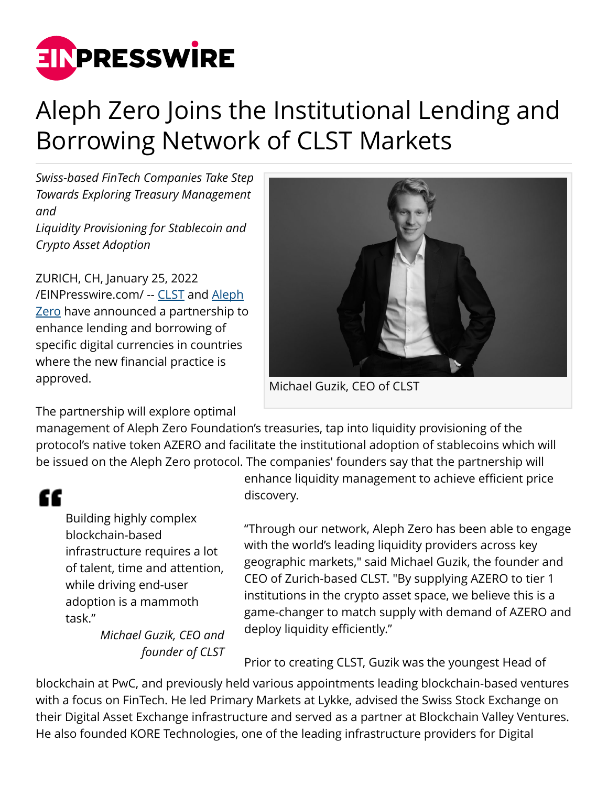

## Aleph Zero Joins the Institutional Lending and Borrowing Network of CLST Markets

*Swiss-based FinTech Companies Take Step Towards Exploring Treasury Management and*

*Liquidity Provisioning for Stablecoin and Crypto Asset Adoption*

ZURICH, CH, January 25, 2022 [/EINPresswire.com/](http://www.einpresswire.com) -- [CLST](https://www.clst.com/) and [Aleph](https://alephzero.org/) [Zero](https://alephzero.org/) have announced a partnership to enhance lending and borrowing of specific digital currencies in countries where the new financial practice is approved.

The partnership will explore optimal

Michael Guzik, CEO of CLST

management of Aleph Zero Foundation's treasuries, tap into liquidity provisioning of the protocol's native token AZERO and facilitate the institutional adoption of stablecoins which will be issued on the Aleph Zero protocol. The companies' founders say that the partnership will

## ££

Building highly complex blockchain-based infrastructure requires a lot of talent, time and attention, while driving end-user adoption is a mammoth task."

> *Michael Guzik, CEO and founder of CLST*

enhance liquidity management to achieve efficient price discovery.

"Through our network, Aleph Zero has been able to engage with the world's leading liquidity providers across key geographic markets," said Michael Guzik, the founder and CEO of Zurich-based CLST. "By supplying AZERO to tier 1 institutions in the crypto asset space, we believe this is a game-changer to match supply with demand of AZERO and deploy liquidity efficiently."

Prior to creating CLST, Guzik was the youngest Head of

blockchain at PwC, and previously held various appointments leading blockchain-based ventures with a focus on FinTech. He led Primary Markets at Lykke, advised the Swiss Stock Exchange on their Digital Asset Exchange infrastructure and served as a partner at Blockchain Valley Ventures. He also founded KORE Technologies, one of the leading infrastructure providers for Digital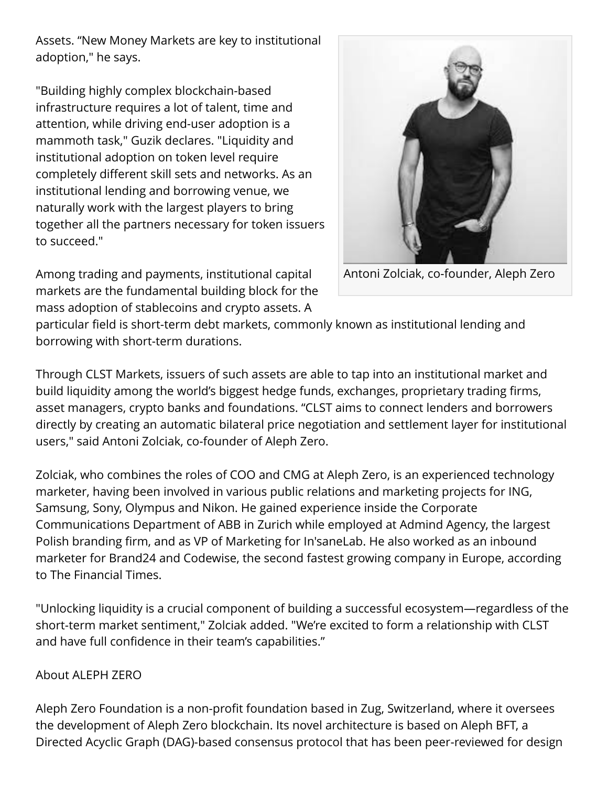Assets. "New Money Markets are key to institutional adoption," he says.

"Building highly complex blockchain-based infrastructure requires a lot of talent, time and attention, while driving end-user adoption is a mammoth task," Guzik declares. "Liquidity and institutional adoption on token level require completely different skill sets and networks. As an institutional lending and borrowing venue, we naturally work with the largest players to bring together all the partners necessary for token issuers to succeed."



Antoni Zolciak, co-founder, Aleph Zero

Among trading and payments, institutional capital markets are the fundamental building block for the mass adoption of stablecoins and crypto assets. A

particular field is short-term debt markets, commonly known as institutional lending and borrowing with short-term durations.

Through CLST Markets, issuers of such assets are able to tap into an institutional market and build liquidity among the world's biggest hedge funds, exchanges, proprietary trading firms, asset managers, crypto banks and foundations. "CLST aims to connect lenders and borrowers directly by creating an automatic bilateral price negotiation and settlement layer for institutional users," said Antoni Zolciak, co-founder of Aleph Zero.

Zolciak, who combines the roles of COO and CMG at Aleph Zero, is an experienced technology marketer, having been involved in various public relations and marketing projects for ING, Samsung, Sony, Olympus and Nikon. He gained experience inside the Corporate Communications Department of ABB in Zurich while employed at Admind Agency, the largest Polish branding firm, and as VP of Marketing for In'saneLab. He also worked as an inbound marketer for Brand24 and Codewise, the second fastest growing company in Europe, according to The Financial Times.

"Unlocking liquidity is a crucial component of building a successful ecosystem—regardless of the short-term market sentiment," Zolciak added. "We're excited to form a relationship with CLST and have full confidence in their team's capabilities."

## About ALEPH ZERO

Aleph Zero Foundation is a non-profit foundation based in Zug, Switzerland, where it oversees the development of Aleph Zero blockchain. Its novel architecture is based on Aleph BFT, a Directed Acyclic Graph (DAG)-based consensus protocol that has been peer-reviewed for design